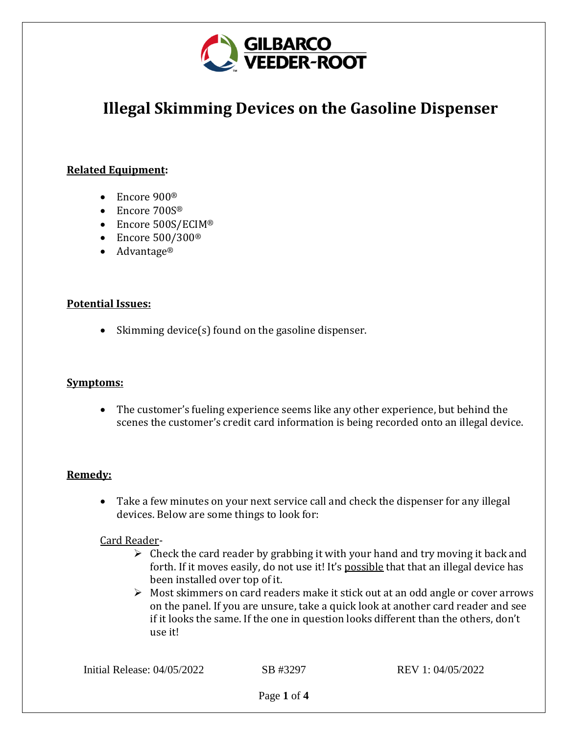

# **Illegal Skimming Devices on the Gasoline Dispenser**

## **Related Equipment:**

- Encore 900<sup>®</sup>
- Encore 700S®
- Encore 500S/ECIM®
- Encore 500/300<sup>®</sup>
- Advantage®

#### **Potential Issues:**

• Skimming device(s) found on the gasoline dispenser.

#### **Symptoms:**

• The customer's fueling experience seems like any other experience, but behind the scenes the customer's credit card information is being recorded onto an illegal device.

#### **Remedy:**

• Take a few minutes on your next service call and check the dispenser for any illegal devices. Below are some things to look for:

#### Card Reader-

- $\triangleright$  Check the card reader by grabbing it with your hand and try moving it back and forth. If it moves easily, do not use it! It's possible that that an illegal device has been installed over top of it.
- ➢ Most skimmers on card readers make it stick out at an odd angle or cover arrows on the panel. If you are unsure, take a quick look at another card reader and see if it looks the same. If the one in question looks different than the others, don't use it!

Initial Release: 04/05/2022 SB #3297 REV 1: 04/05/2022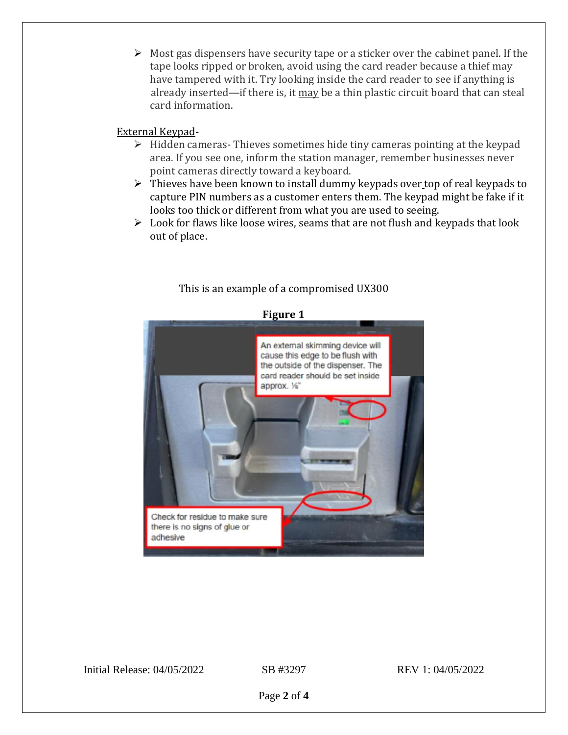$\triangleright$  Most gas dispensers have security tape or a sticker over the cabinet panel. If the tape looks ripped or broken, avoid using the card reader because a thief may have tampered with it. Try looking inside the card reader to see if anything is already inserted—if there is, it may be a thin plastic circuit board that can steal card information.

#### External Keypad-

- $\triangleright$  Hidden cameras-Thieves sometimes hide tiny cameras pointing at the keypad area. If you see one, inform the station manager, remember businesses never point cameras directly toward a keyboard.
- ➢ Thieves have been known to install dummy keypads over top of real keypads to capture PIN numbers as a customer enters them. The keypad might be fake if it looks too thick or different from what you are used to seeing.
- $\triangleright$  Look for flaws like loose wires, seams that are not flush and keypads that look out of place.



# This is an example of a compromised UX300

Initial Release: 04/05/2022 SB #3297 REV 1: 04/05/2022

Page **2** of **4**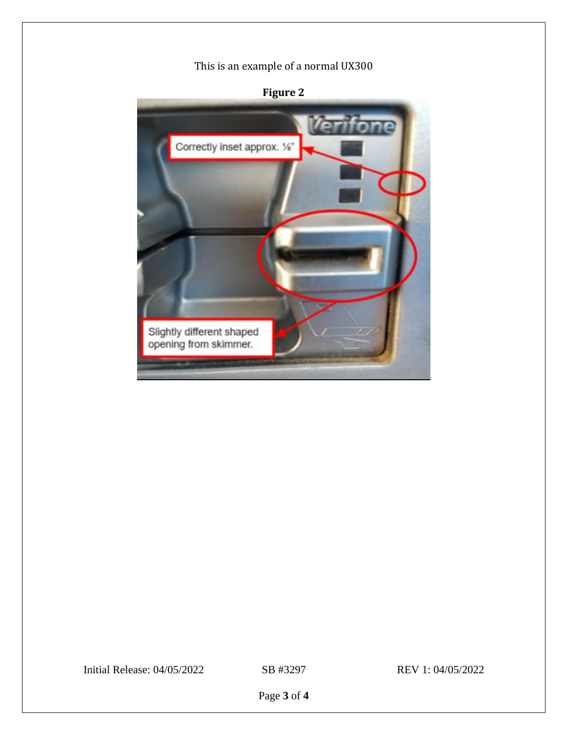# This is an example of a normal UX300



# **Figure 2**

Initial Release: 04/05/2022 SB #3297 REV 1: 04/05/2022

Page **3** of **4**